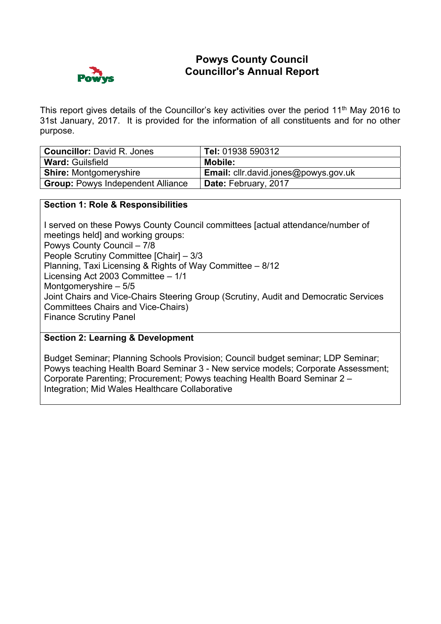## **Powys County Council Councillor's Annual Report**



This report gives details of the Councillor's key activities over the period 11<sup>th</sup> May 2016 to 31st January, 2017. It is provided for the information of all constituents and for no other purpose.

| <b>Councillor: David R. Jones</b>        | Tel: 01938 590312                           |
|------------------------------------------|---------------------------------------------|
| <b>Ward: Guilsfield</b>                  | Mobile:                                     |
| <b>Shire: Montgomeryshire</b>            | <b>Email:</b> cllr.david.jones@powys.gov.uk |
| <b>Group: Powys Independent Alliance</b> | Date: February, 2017                        |

### **Section 1: Role & Responsibilities**

I served on these Powys County Council committees [actual attendance/number of meetings held] and working groups: Powys County Council – 7/8 People Scrutiny Committee [Chair] – 3/3 Planning, Taxi Licensing & Rights of Way Committee – 8/12 Licensing Act 2003 Committee – 1/1 Montgomeryshire – 5/5 Joint Chairs and Vice-Chairs Steering Group (Scrutiny, Audit and Democratic Services Committees Chairs and Vice-Chairs) Finance Scrutiny Panel

### **Section 2: Learning & Development**

Budget Seminar; Planning Schools Provision; Council budget seminar; LDP Seminar; Powys teaching Health Board Seminar 3 - New service models; Corporate Assessment; Corporate Parenting; Procurement; Powys teaching Health Board Seminar 2 – Integration; Mid Wales Healthcare Collaborative